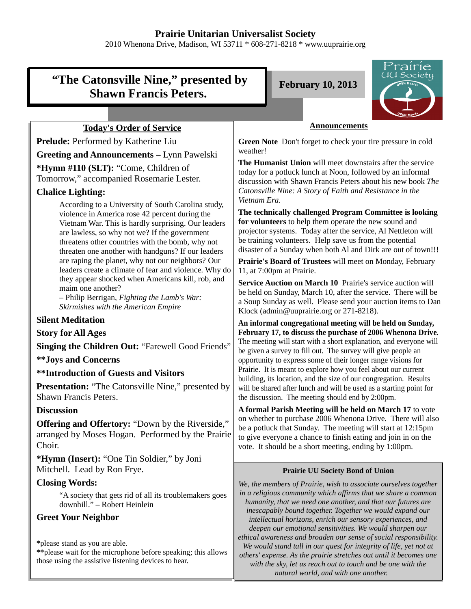# **Prairie Unitarian Universalist Society**

2010 Whenona Drive, Madison, WI 53711 \* 608-271-8218 \* www.uuprairie.org

# **"The Catonsville Nine," presented by Shawn Francis Peters.**

**February 10, 2013**



# **Today's Order of Service**

**Prelude:** Performed by Katherine Liu **Greeting and Announcements –** Lynn Pawelski **\*Hymn #110 (SLT):** "Come, Children of Tomorrow," accompanied Rosemarie Lester.

### **Chalice Lighting:**

According to a University of South Carolina study, violence in America rose 42 percent during the Vietnam War. This is hardly surprising. Our leaders are lawless, so why not we? If the government threatens other countries with the bomb, why not threaten one another with handguns? If our leaders are raping the planet, why not our neighbors? Our leaders create a climate of fear and violence. Why do they appear shocked when Americans kill, rob, and maim one another?

– Philip Berrigan, *Fighting the Lamb's War: Skirmishes with the American Empire*

### **Silent Meditation**

**Story for All Ages**

**Singing the Children Out:** "Farewell Good Friends"

**\*\*Joys and Concerns**

**\*\*Introduction of Guests and Visitors**

**Presentation:** "The Catonsville Nine," presented by Shawn Francis Peters.

# **Discussion**

**Offering and Offertory:** "Down by the Riverside," arranged by Moses Hogan. Performed by the Prairie Choir.

**\*Hymn (Insert):** "One Tin Soldier," by Joni Mitchell. Lead by Ron Frye.

# **Closing Words:**

"A society that gets rid of all its troublemakers goes downhill." – Robert Heinlein

# **Greet Your Neighbor**

**\***please stand as you are able.

**\*\***please wait for the microphone before speaking; this allows those using the assistive listening devices to hear.

### **Announcements**

**Green Note** Don't forget to check your tire pressure in cold weather!

**The Humanist Union** will meet downstairs after the service today for a potluck lunch at Noon, followed by an informal discussion with Shawn Francis Peters about his new book *The Catonsville Nine: A Story of Faith and Resistance in the Vietnam Era.*

**The technically challenged Program Committee is looking for volunteers** to help them operate the new sound and projector systems. Today after the service, Al Nettleton will be training volunteers. Help save us from the potential disaster of a Sunday when both Al and Dirk are out of town!!!

**Prairie's Board of Trustees** will meet on Monday, February 11, at 7:00pm at Prairie.

**Service Auction on March 10** Prairie's service auction will be held on Sunday, March 10, after the service. There will be a Soup Sunday as well. Please send your auction items to Dan Klock (admin@uuprairie.org or 271-8218).

**An informal congregational meeting will be held on Sunday, February 17, to discuss the purchase of 2006 Whenona Drive.** The meeting will start with a short explanation, and everyone will be given a survey to fill out. The survey will give people an opportunity to express some of their longer range visions for Prairie. It is meant to explore how you feel about our current building, its location, and the size of our congregation. Results will be shared after lunch and will be used as a starting point for the discussion. The meeting should end by 2:00pm.

**A formal Parish Meeting will be held on March 17** to vote on whether to purchase 2006 Whenona Drive. There will also be a potluck that Sunday. The meeting will start at 12:15pm to give everyone a chance to finish eating and join in on the vote. It should be a short meeting, ending by 1:00pm.

### **Prairie UU Society Bond of Union**

*We, the members of Prairie, wish to associate ourselves together in a religious community which affirms that we share a common humanity, that we need one another, and that our futures are inescapably bound together. Together we would expand our intellectual horizons, enrich our sensory experiences, and deepen our emotional sensitivities. We would sharpen our ethical awareness and broaden our sense of social responsibility. We would stand tall in our quest for integrity of life, yet not at others' expense. As the prairie stretches out until it becomes one with the sky, let us reach out to touch and be one with the natural world, and with one another.*